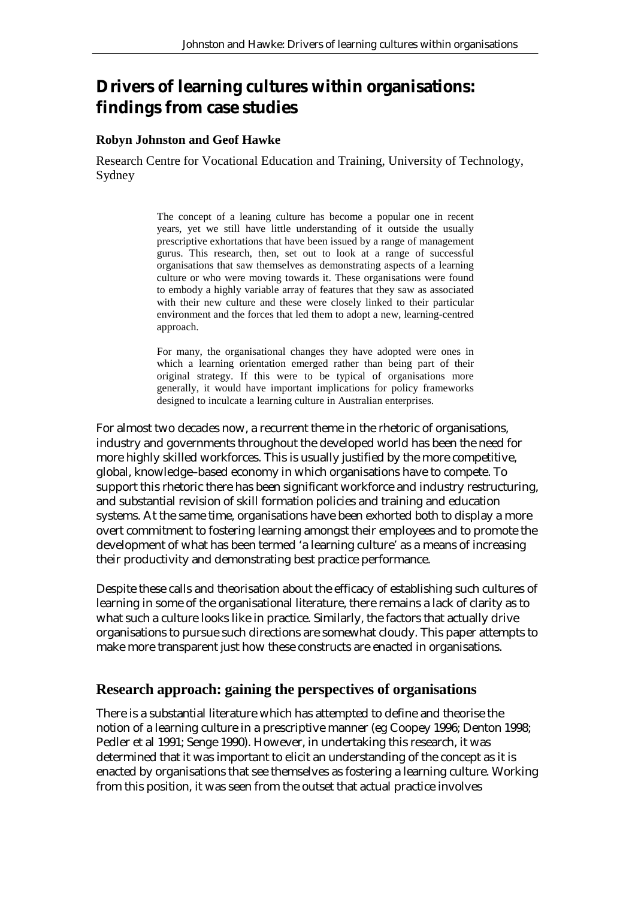# **Drivers of learning cultures within organisations: findings from case studies**

#### **Robyn Johnston and Geof Hawke**

Research Centre for Vocational Education and Training, University of Technology, Sydney

> The concept of a leaning culture has become a popular one in recent years, yet we still have little understanding of it outside the usually prescriptive exhortations that have been issued by a range of management gurus. This research, then, set out to look at a range of successful organisations that saw themselves as demonstrating aspects of a learning culture or who were moving towards it. These organisations were found to embody a highly variable array of features that they saw as associated with their new culture and these were closely linked to their particular environment and the forces that led them to adopt a new, learning-centred approach.

> For many, the organisational changes they have adopted were ones in which a learning orientation emerged rather than being part of their original strategy. If this were to be typical of organisations more generally, it would have important implications for policy frameworks designed to inculcate a learning culture in Australian enterprises.

For almost two decades now, a recurrent theme in the rhetoric of organisations, industry and governments throughout the developed world has been the need for more highly skilled workforces. This is usually justified by the more competitive, global, knowledge–based economy in which organisations have to compete. To support this rhetoric there has been significant workforce and industry restructuring, and substantial revision of skill formation policies and training and education systems. At the same time, organisations have been exhorted both to display a more overt commitment to fostering learning amongst their employees and to promote the development of what has been termed 'a learning culture' as a means of increasing their productivity and demonstrating best practice performance.

Despite these calls and theorisation about the efficacy of establishing such cultures of learning in some of the organisational literature, there remains a lack of clarity as to what such a culture looks like in practice. Similarly, the factors that actually drive organisations to pursue such directions are somewhat cloudy. This paper attempts to make more transparent just how these constructs are enacted in organisations.

#### **Research approach: gaining the perspectives of organisations**

There is a substantial literature which has attempted to define and theorise the notion of a learning culture in a prescriptive manner (eg Coopey 1996; Denton 1998; Pedler et al 1991; Senge 1990). However, in undertaking this research, it was determined that it was important to elicit an understanding of the concept as it is enacted by organisations that see themselves as fostering a learning culture. Working from this position, it was seen from the outset that actual practice involves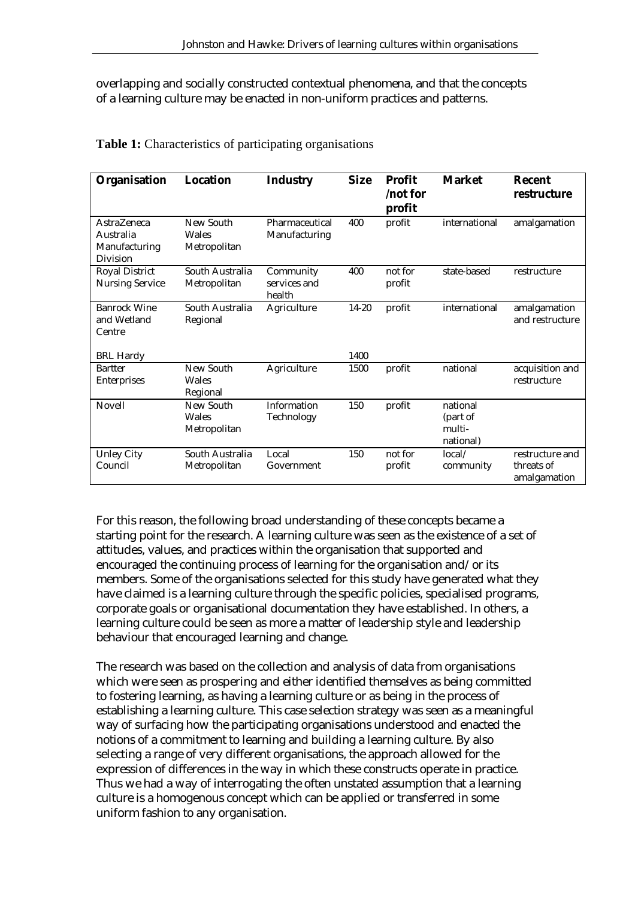overlapping and socially constructed contextual phenomena, and that the concepts of a learning culture may be enacted in non-uniform practices and patterns.

| Organisation                                                        | <b>Location</b>                    | <b>Industry</b>                     | <b>Size</b> | <b>Profit</b><br>/not for<br>profit | <b>Market</b>                               | <b>Recent</b><br>restructure                  |
|---------------------------------------------------------------------|------------------------------------|-------------------------------------|-------------|-------------------------------------|---------------------------------------------|-----------------------------------------------|
| <b>AstraZeneca</b><br>Australia<br>Manufacturing<br><b>Division</b> | New South<br>Wales<br>Metropolitan | Pharmaceutical<br>Manufacturing     | 400         | profit                              | international                               | amalgamation                                  |
| <b>Royal District</b><br><b>Nursing Service</b>                     | South Australia<br>Metropolitan    | Community<br>services and<br>health | 400         | not for<br>profit                   | state-based                                 | restructure                                   |
| <b>Banrock Wine</b><br>and Wetland<br>Centre                        | South Australia<br>Regional        | Agriculture                         | $14 - 20$   | profit                              | international                               | amalgamation<br>and restructure               |
| <b>BRL Hardy</b>                                                    |                                    |                                     | 1400        |                                     |                                             |                                               |
| <b>Bartter</b><br><b>Enterprises</b>                                | New South<br>Wales<br>Regional     | Agriculture                         | 1500        | profit                              | national                                    | acquisition and<br>restructure                |
| Novell                                                              | New South<br>Wales<br>Metropolitan | Information<br>Technology           | 150         | profit                              | national<br>(part of<br>multi-<br>national) |                                               |
| <b>Unley City</b><br>Council                                        | South Australia<br>Metropolitan    | Local<br>Government                 | 150         | not for<br>profit                   | local/<br>community                         | restructure and<br>threats of<br>amalgamation |

#### **Table 1:** Characteristics of participating organisations

For this reason, the following broad understanding of these concepts became a starting point for the research. A learning culture was seen as the existence of a set of attitudes, values, and practices within the organisation that supported and encouraged the continuing process of learning for the organisation and/or its members. Some of the organisations selected for this study have generated what they have claimed is a learning culture through the specific policies, specialised programs, corporate goals or organisational documentation they have established. In others, a learning culture could be seen as more a matter of leadership style and leadership behaviour that encouraged learning and change.

The research was based on the collection and analysis of data from organisations which were seen as prospering and either identified themselves as being committed to fostering learning, as having a learning culture or as being in the process of establishing a learning culture. This case selection strategy was seen as a meaningful way of surfacing how the participating organisations understood and enacted the notions of a commitment to learning and building a learning culture. By also selecting a range of very different organisations, the approach allowed for the expression of differences in the way in which these constructs operate in practice. Thus we had a way of interrogating the often unstated assumption that a learning culture is a homogenous concept which can be applied or transferred in some uniform fashion to any organisation.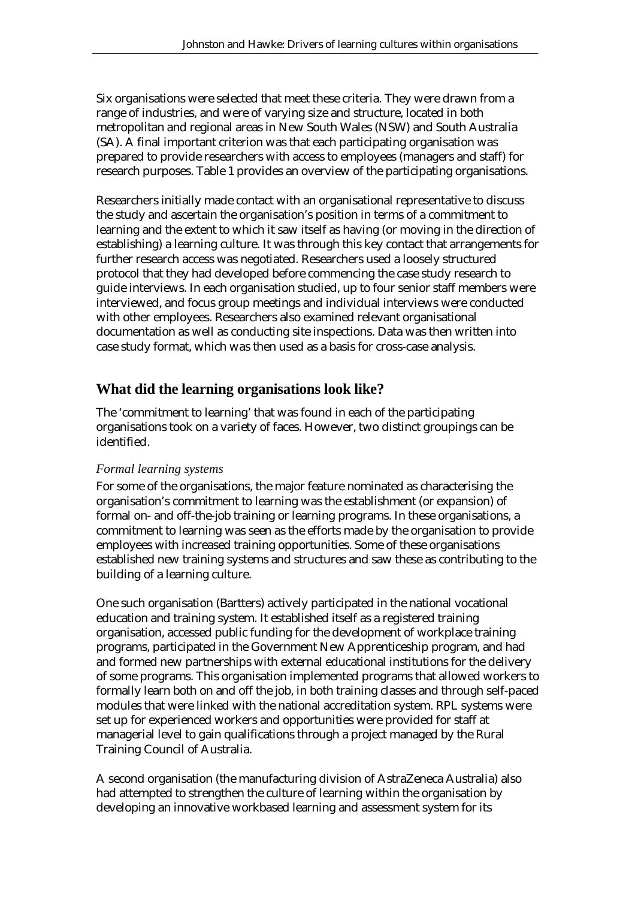Six organisations were selected that meet these criteria. They were drawn from a range of industries, and were of varying size and structure, located in both metropolitan and regional areas in New South Wales (NSW) and South Australia (SA). A final important criterion was that each participating organisation was prepared to provide researchers with access to employees (managers and staff) for research purposes. Table 1 provides an overview of the participating organisations.

Researchers initially made contact with an organisational representative to discuss the study and ascertain the organisation's position in terms of a commitment to learning and the extent to which it saw itself as having (or moving in the direction of establishing) a learning culture. It was through this key contact that arrangements for further research access was negotiated. Researchers used a loosely structured protocol that they had developed before commencing the case study research to guide interviews. In each organisation studied, up to four senior staff members were interviewed, and focus group meetings and individual interviews were conducted with other employees. Researchers also examined relevant organisational documentation as well as conducting site inspections. Data was then written into case study format, which was then used as a basis for cross-case analysis.

# **What did the learning organisations look like?**

The 'commitment to learning' that was found in each of the participating organisations took on a variety of faces. However, two distinct groupings can be identified.

#### *Formal learning systems*

For some of the organisations, the major feature nominated as characterising the organisation's commitment to learning was the establishment (or expansion) of formal on- and off-the-job training or learning programs. In these organisations, a commitment to learning was seen as the efforts made by the organisation to provide employees with increased training opportunities. Some of these organisations established new training systems and structures and saw these as contributing to the building of a learning culture.

One such organisation (Bartters) actively participated in the national vocational education and training system. It established itself as a registered training organisation, accessed public funding for the development of workplace training programs, participated in the Government New Apprenticeship program, and had and formed new partnerships with external educational institutions for the delivery of some programs. This organisation implemented programs that allowed workers to formally learn both on and off the job, in both training classes and through self-paced modules that were linked with the national accreditation system. RPL systems were set up for experienced workers and opportunities were provided for staff at managerial level to gain qualifications through a project managed by the Rural Training Council of Australia.

A second organisation (the manufacturing division of AstraZeneca Australia) also had attempted to strengthen the culture of learning within the organisation by developing an innovative workbased learning and assessment system for its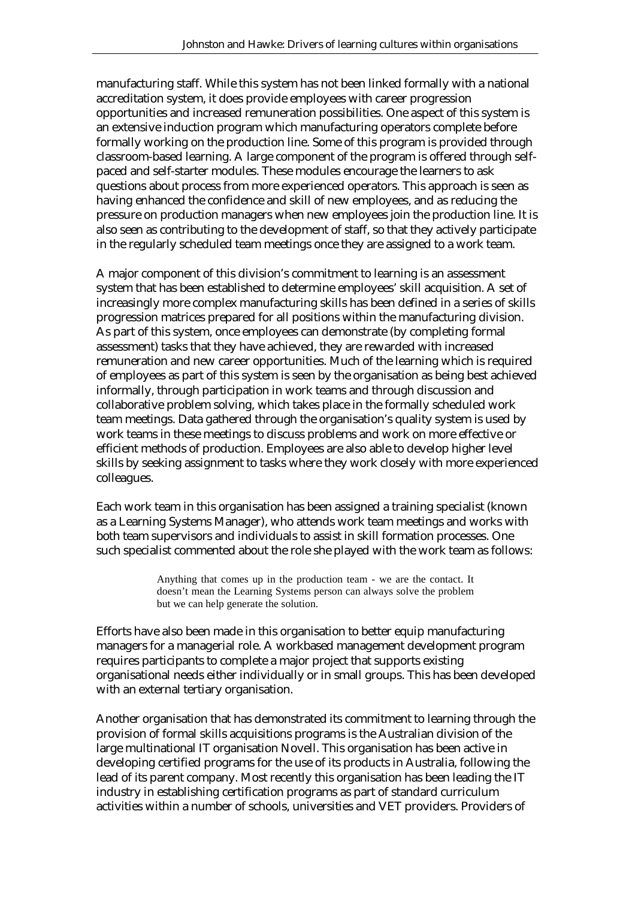manufacturing staff. While this system has not been linked formally with a national accreditation system, it does provide employees with career progression opportunities and increased remuneration possibilities. One aspect of this system is an extensive induction program which manufacturing operators complete before formally working on the production line. Some of this program is provided through classroom-based learning. A large component of the program is offered through selfpaced and self-starter modules. These modules encourage the learners to ask questions about process from more experienced operators. This approach is seen as having enhanced the confidence and skill of new employees, and as reducing the pressure on production managers when new employees join the production line. It is also seen as contributing to the development of staff, so that they actively participate in the regularly scheduled team meetings once they are assigned to a work team.

A major component of this division's commitment to learning is an assessment system that has been established to determine employees' skill acquisition. A set of increasingly more complex manufacturing skills has been defined in a series of skills progression matrices prepared for all positions within the manufacturing division. As part of this system, once employees can demonstrate (by completing formal assessment) tasks that they have achieved, they are rewarded with increased remuneration and new career opportunities. Much of the learning which is required of employees as part of this system is seen by the organisation as being best achieved informally, through participation in work teams and through discussion and collaborative problem solving, which takes place in the formally scheduled work team meetings. Data gathered through the organisation's quality system is used by work teams in these meetings to discuss problems and work on more effective or efficient methods of production. Employees are also able to develop higher level skills by seeking assignment to tasks where they work closely with more experienced colleagues.

Each work team in this organisation has been assigned a training specialist (known as a Learning Systems Manager), who attends work team meetings and works with both team supervisors and individuals to assist in skill formation processes. One such specialist commented about the role she played with the work team as follows:

> Anything that comes up in the production team - we are the contact. It doesn't mean the Learning Systems person can always solve the problem but we can help generate the solution.

Efforts have also been made in this organisation to better equip manufacturing managers for a managerial role. A workbased management development program requires participants to complete a major project that supports existing organisational needs either individually or in small groups. This has been developed with an external tertiary organisation.

Another organisation that has demonstrated its commitment to learning through the provision of formal skills acquisitions programs is the Australian division of the large multinational IT organisation Novell. This organisation has been active in developing certified programs for the use of its products in Australia, following the lead of its parent company. Most recently this organisation has been leading the IT industry in establishing certification programs as part of standard curriculum activities within a number of schools, universities and VET providers. Providers of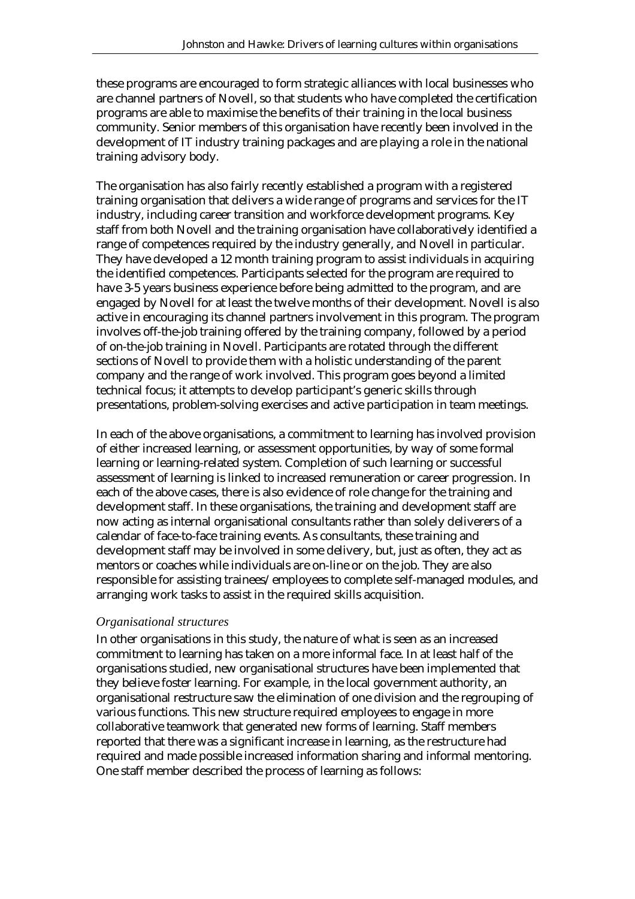these programs are encouraged to form strategic alliances with local businesses who are channel partners of Novell, so that students who have completed the certification programs are able to maximise the benefits of their training in the local business community. Senior members of this organisation have recently been involved in the development of IT industry training packages and are playing a role in the national training advisory body.

The organisation has also fairly recently established a program with a registered training organisation that delivers a wide range of programs and services for the IT industry, including career transition and workforce development programs. Key staff from both Novell and the training organisation have collaboratively identified a range of competences required by the industry generally, and Novell in particular. They have developed a 12 month training program to assist individuals in acquiring the identified competences. Participants selected for the program are required to have 3-5 years business experience before being admitted to the program, and are engaged by Novell for at least the twelve months of their development. Novell is also active in encouraging its channel partners involvement in this program. The program involves off-the-job training offered by the training company, followed by a period of on-the-job training in Novell. Participants are rotated through the different sections of Novell to provide them with a holistic understanding of the parent company and the range of work involved. This program goes beyond a limited technical focus; it attempts to develop participant's generic skills through presentations, problem-solving exercises and active participation in team meetings.

In each of the above organisations, a commitment to learning has involved provision of either increased learning, or assessment opportunities, by way of some formal learning or learning-related system. Completion of such learning or successful assessment of learning is linked to increased remuneration or career progression. In each of the above cases, there is also evidence of role change for the training and development staff. In these organisations, the training and development staff are now acting as internal organisational consultants rather than solely deliverers of a calendar of face-to-face training events. As consultants, these training and development staff may be involved in some delivery, but, just as often, they act as mentors or coaches while individuals are on-line or on the job. They are also responsible for assisting trainees/employees to complete self-managed modules, and arranging work tasks to assist in the required skills acquisition.

#### *Organisational structures*

In other organisations in this study, the nature of what is seen as an increased commitment to learning has taken on a more informal face. In at least half of the organisations studied, new organisational structures have been implemented that they believe foster learning. For example, in the local government authority, an organisational restructure saw the elimination of one division and the regrouping of various functions. This new structure required employees to engage in more collaborative teamwork that generated new forms of learning. Staff members reported that there was a significant increase in learning, as the restructure had required and made possible increased information sharing and informal mentoring. One staff member described the process of learning as follows: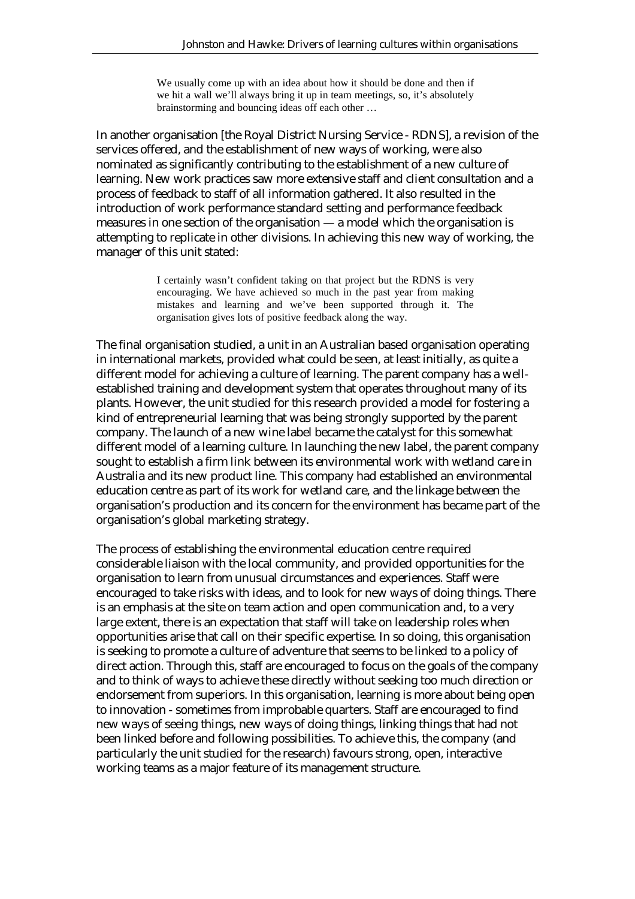We usually come up with an idea about how it should be done and then if we hit a wall we'll always bring it up in team meetings, so, it's absolutely brainstorming and bouncing ideas off each other …

In another organisation [the Royal District Nursing Service - RDNS], a revision of the services offered, and the establishment of new ways of working, were also nominated as significantly contributing to the establishment of a new culture of learning. New work practices saw more extensive staff and client consultation and a process of feedback to staff of all information gathered. It also resulted in the introduction of work performance standard setting and performance feedback measures in one section of the organisation — a model which the organisation is attempting to replicate in other divisions. In achieving this new way of working, the manager of this unit stated:

> I certainly wasn't confident taking on that project but the RDNS is very encouraging. We have achieved so much in the past year from making mistakes and learning and we've been supported through it. The organisation gives lots of positive feedback along the way.

The final organisation studied, a unit in an Australian based organisation operating in international markets, provided what could be seen, at least initially, as quite a different model for achieving a culture of learning. The parent company has a wellestablished training and development system that operates throughout many of its plants. However, the unit studied for this research provided a model for fostering a kind of entrepreneurial learning that was being strongly supported by the parent company. The launch of a new wine label became the catalyst for this somewhat different model of a learning culture. In launching the new label, the parent company sought to establish a firm link between its environmental work with wetland care in Australia and its new product line. This company had established an environmental education centre as part of its work for wetland care, and the linkage between the organisation's production and its concern for the environment has became part of the organisation's global marketing strategy.

The process of establishing the environmental education centre required considerable liaison with the local community, and provided opportunities for the organisation to learn from unusual circumstances and experiences. Staff were encouraged to take risks with ideas, and to look for new ways of doing things. There is an emphasis at the site on team action and open communication and, to a very large extent, there is an expectation that staff will take on leadership roles when opportunities arise that call on their specific expertise. In so doing, this organisation is seeking to promote a culture of adventure that seems to be linked to a policy of direct action. Through this, staff are encouraged to focus on the goals of the company and to think of ways to achieve these directly without seeking too much direction or endorsement from superiors. In this organisation, learning is more about being open to innovation - sometimes from improbable quarters. Staff are encouraged to find new ways of seeing things, new ways of doing things, linking things that had not been linked before and following possibilities. To achieve this, the company (and particularly the unit studied for the research) favours strong, open, interactive working teams as a major feature of its management structure.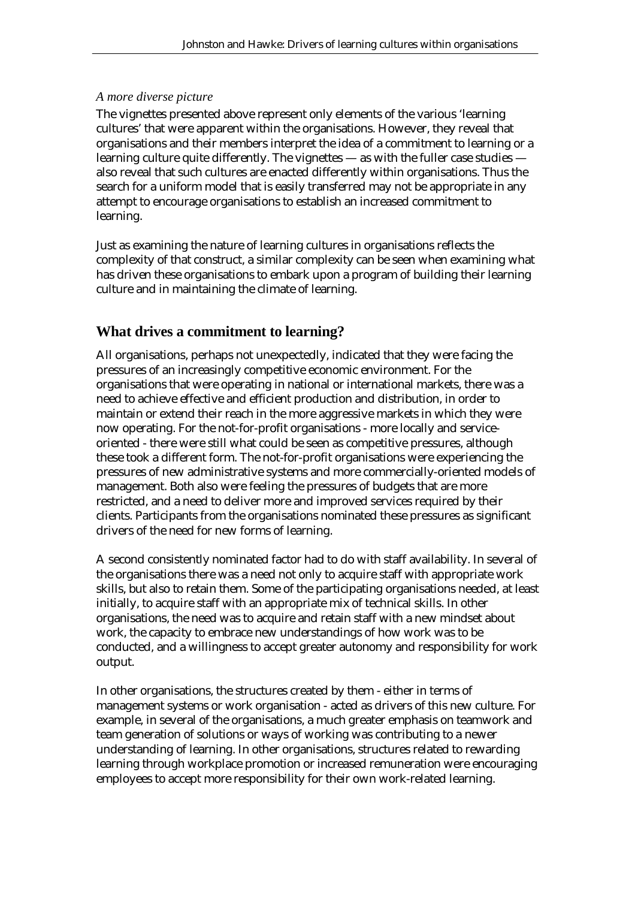### *A more diverse picture*

The vignettes presented above represent only elements of the various 'learning cultures' that were apparent within the organisations. However, they reveal that organisations and their members interpret the idea of a commitment to learning or a learning culture quite differently. The vignettes — as with the fuller case studies also reveal that such cultures are enacted differently within organisations. Thus the search for a uniform model that is easily transferred may not be appropriate in any attempt to encourage organisations to establish an increased commitment to learning.

Just as examining the nature of learning cultures in organisations reflects the complexity of that construct, a similar complexity can be seen when examining what has driven these organisations to embark upon a program of building their learning culture and in maintaining the climate of learning.

# **What drives a commitment to learning?**

All organisations, perhaps not unexpectedly, indicated that they were facing the pressures of an increasingly competitive economic environment. For the organisations that were operating in national or international markets, there was a need to achieve effective and efficient production and distribution, in order to maintain or extend their reach in the more aggressive markets in which they were now operating. For the not-for-profit organisations - more locally and serviceoriented - there were still what could be seen as competitive pressures, although these took a different form. The not-for-profit organisations were experiencing the pressures of new administrative systems and more commercially-oriented models of management. Both also were feeling the pressures of budgets that are more restricted, and a need to deliver more and improved services required by their clients. Participants from the organisations nominated these pressures as significant drivers of the need for new forms of learning.

A second consistently nominated factor had to do with staff availability. In several of the organisations there was a need not only to acquire staff with appropriate work skills, but also to retain them. Some of the participating organisations needed, at least initially, to acquire staff with an appropriate mix of technical skills. In other organisations, the need was to acquire and retain staff with a new mindset about work, the capacity to embrace new understandings of how work was to be conducted, and a willingness to accept greater autonomy and responsibility for work output.

In other organisations, the structures created by them - either in terms of management systems or work organisation - acted as drivers of this new culture. For example, in several of the organisations, a much greater emphasis on teamwork and team generation of solutions or ways of working was contributing to a newer understanding of learning. In other organisations, structures related to rewarding learning through workplace promotion or increased remuneration were encouraging employees to accept more responsibility for their own work-related learning.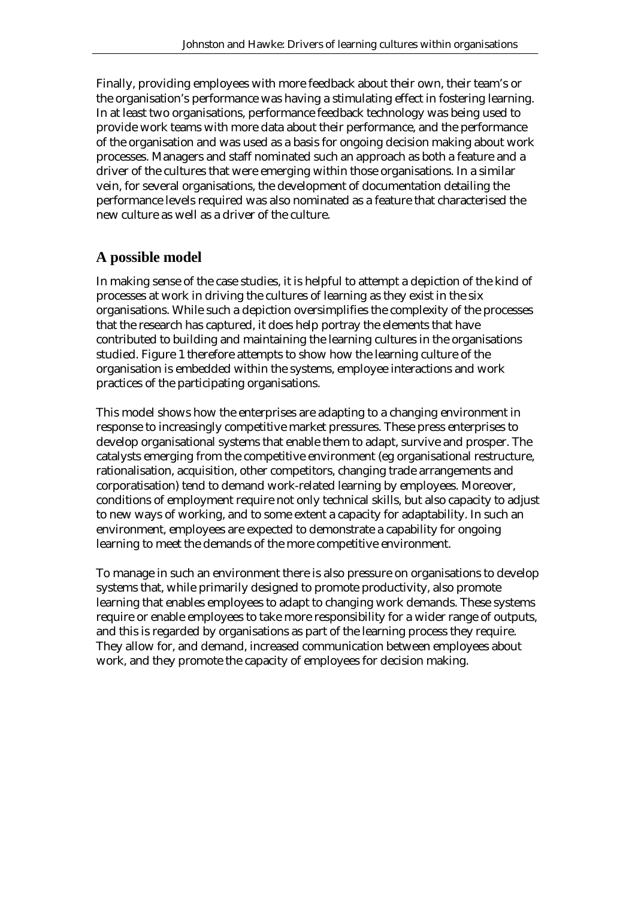Finally, providing employees with more feedback about their own, their team's or the organisation's performance was having a stimulating effect in fostering learning. In at least two organisations, performance feedback technology was being used to provide work teams with more data about their performance, and the performance of the organisation and was used as a basis for ongoing decision making about work processes. Managers and staff nominated such an approach as both a feature and a driver of the cultures that were emerging within those organisations. In a similar vein, for several organisations, the development of documentation detailing the performance levels required was also nominated as a feature that characterised the new culture as well as a driver of the culture.

### **A possible model**

In making sense of the case studies, it is helpful to attempt a depiction of the kind of processes at work in driving the cultures of learning as they exist in the six organisations. While such a depiction oversimplifies the complexity of the processes that the research has captured, it does help portray the elements that have contributed to building and maintaining the learning cultures in the organisations studied. Figure 1 therefore attempts to show how the learning culture of the organisation is embedded within the systems, employee interactions and work practices of the participating organisations.

This model shows how the enterprises are adapting to a changing environment in response to increasingly competitive market pressures. These press enterprises to develop organisational systems that enable them to adapt, survive and prosper. The catalysts emerging from the competitive environment (eg organisational restructure, rationalisation, acquisition, other competitors, changing trade arrangements and corporatisation) tend to demand work-related learning by employees. Moreover, conditions of employment require not only technical skills, but also capacity to adjust to new ways of working, and to some extent a capacity for adaptability. In such an environment, employees are expected to demonstrate a capability for ongoing learning to meet the demands of the more competitive environment.

To manage in such an environment there is also pressure on organisations to develop systems that, while primarily designed to promote productivity, also promote learning that enables employees to adapt to changing work demands. These systems require or enable employees to take more responsibility for a wider range of outputs, and this is regarded by organisations as part of the learning process they require. They allow for, and demand, increased communication between employees about work, and they promote the capacity of employees for decision making.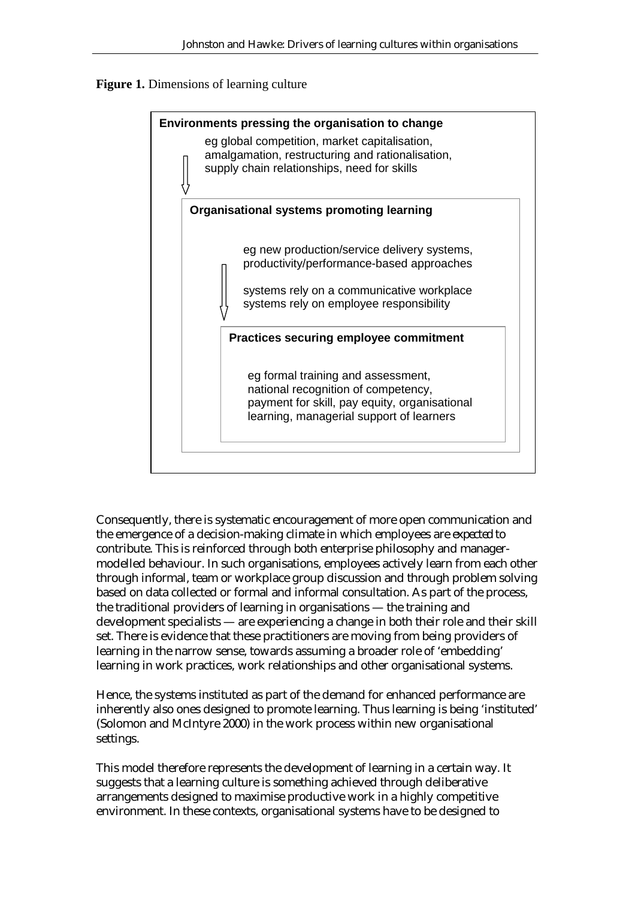



Consequently, there is systematic encouragement of more open communication and the emergence of a decision-making climate in which employees are *expected* to contribute. This is reinforced through both enterprise philosophy and managermodelled behaviour. In such organisations, employees actively learn from each other through informal, team or workplace group discussion and through problem solving based on data collected or formal and informal consultation. As part of the process, the traditional providers of learning in organisations — the training and development specialists — are experiencing a change in both their role and their skill set. There is evidence that these practitioners are moving from being providers of learning in the narrow sense, towards assuming a broader role of 'embedding' learning in work practices, work relationships and other organisational systems.

Hence, the systems instituted as part of the demand for enhanced performance are inherently also ones designed to promote learning. Thus learning is being 'instituted' (Solomon and McIntyre 2000) in the work process within new organisational settings.

This model therefore represents the development of learning in a certain way. It suggests that a learning culture is something achieved through deliberative arrangements designed to maximise productive work in a highly competitive environment. In these contexts, organisational systems have to be designed to